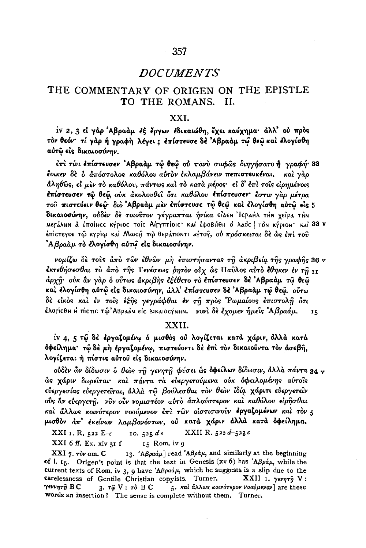#### THE COMMENTARY OF ORIGEN ON THE EPISTLE TO THE ROMANS. II.

### XXI.

iv 2, 3 εἰ γὰρ Ἀβραὰμ ἐξ ἔργων ἐδικαιώθη, ἔχει καύχημα· ἀλλ' οὐ πρὸς τον θεόν· τί γαρ ή γραφή λέγει; επίστευσε δε Αβραάμ τω θεώ και έλογίσθη αὐτῷ εἰς δικαιοσύνην.

έπι τίνι επίστευσεν 'Αβραάμ τῷ θεῷ οὐ πάνυ σαφῶς διηγήσατο ή γραφή 33 έοικεν δε ο απόστολος καθόλου αύτον εκλαμβάνειν πεπιστευκέναι. και γαρ άληθώς, εί μεν το καθόλου, πάντως και το κατα μέρος· εί δ' έπι τοις είρημένοις έπίστευσεν τῶ θεῶ, οὐκ ἀκολουθεῖ ὅτι καθόλου ἐπίστευσεν ἔστιν γὰρ μέτρα τοῦ πιστεύειν θεῷ· διὸ Ἀβραὰμ μὲν ἐπίστευσε τῷ θεῷ καὶ ἐλογίσθη αὐτῷ εἰς 5 δικαιοσύνην, ούδεν δε τοιούτον γέγραπται ήνίκα είλεη Ισραμλ την χείρα την meráλhn â έποίнςε κήριος τοΐς Αίγγπτίοις· και έφοβήθη ο λαός | τόν κήριον· και 33 v έπίστεγοε τώ κγρίω καί Μωο. τώ θεράποΝτι αγτογ, ού πρόσκειται δέ ως έπι τού  $\Delta\beta\rho a\grave{a}\mu$  τὸ ἐλογίσθη αὐτῷ εἰς δικαιοσύνην.

νομίζω δε τοὺς ἀπὸ τῶν ἐθνῶν μὴ ἐπιστήσαντας τῇ ἀκριβεία τῆς γραφῆς 36 v έκτεθήσεσθαι το άπο της Γενέσεως ρητον ούχ ώς Παύλος αύτο έθηκεν έν τη 11 άρχη· ούκ άν γάρ ο ούτως άκριβης εξέθετο το επίστευσεν δε Αβραάμ τω θεώ και έλογίσθη αύτώ είς δικαιοσύνην, άλλ' επίστευσεν δε 'Αβραάμ τώ θεώ, ούτω δε είκος και έν τοις έξης γεγράφθαι έν τη προς Ρωμαίους επιστολή ότι έλορίςθη Η πίςτις τῷ'ΑΒραἀΜ εἰς ΔικαιοςÝΝΗΝ. γυνὶ δὲ ἔχομεν ἡμεῖς Ἀβραάμ. 15

# XXII.

iv 4, 5 τω δε έργαζομένω ο μισθός ού λογίζεται κατά χάριν, άλλά κατά δφείλημα· τῷ δὲ μὴ ἐργαξομένῳ, πιστεύοντι δὲ ἐπὶ τὸν δικαιοῦντα τὸν ἀσεβῆ, λογίζεται ή πίστις αύτου είς δικαιοσύνην.

ούδεν ὧν δίδωσιν δ θεός τη γενητη φύσει ώς δφείλων δίδωσιν, άλλά πάντα 34 γ ώς χάριν δωρείται· και πάντα τα ευεργετούμενα ούκ οφειλομένης αυτοίς εύεργεσίας εύεργετείται, άλλά τω βούλεσθαι τον θεον ίδία χάριτι εύεργετείν ούς αν εύεργετη. νύν ούν νομιστέον αύτο άπλούστερον και καθόλου ειρησθαι και άλλως κοινότερον νοούμενον έπι των οιστισινούν έργαζομένων και τον 5 μισθόν άπ' έκείνων λαμβανόντων, ού κατά χάριν άλλά κατά όφείλημα.

XXI 1. R. 522  $E-c$ 10. 525  $de$ XXII R. 522 d-523 c

 $XXI$  6 ff. Ex. xiv 31 f 15 Rom. iv 9

 $XXI$  7.  $\tau \partial \nu$  om,  $C$ 13. 'A $\beta$ ραάμ] read 'A $\beta$ ράμ, and similarly at the beginning of l. 15. Origen's point is that the text in Genesis (xv 6) has 'A $\beta \rho \dot{\alpha} \mu$ , while the current texts of Rom. iv 3, 9 have 'ABpaaµ, which he suggests is a slip due to the carelessness of Gentile Christian copyists. Turner.  $\mathbf{XXII}$  1.  $\gamma \epsilon \nu \eta \tau \hat{\eta}$  V: 5. και άλλως κοινότερον νοούμενον are these γεννητὴ ΒC 3.  $\tau \hat{\omega}$  V :  $\tau \delta$  B C words an insertion? The sense is complete without them. Turner.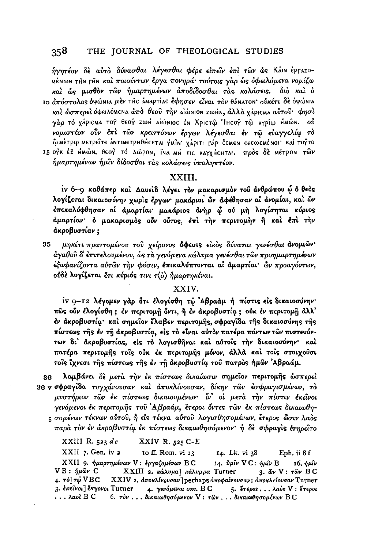ήγητέον δε αύτο δύνασθαι λέγεσθαι φέρε είπεῖν επί των ως Κάιν έργαzo-MENWN THN FAN και ποιούντων έργα πονηρά· τούτοις γαρ ως οφειλόμενα νομίζω και ώς μισθον τῶν ἡμαρτημένων ἀποδίδοσθαι τὰς κολάσεις. διὸ και δ 10 απόστολος όψώΝΙΑ μεν της αΜΑρτίας έφησεν είναι τον θάΝΑτοΝ· ούκέτι δε όψώΝΙΑ καὶ ὧσπερεὶ ὀφειλόΜεΝΑ ἀπὸ θεοῦ τὴν aἰώΝΙΟΝ ΖωΗΝ, ἀλλὰ χάριςΜΑ αὐτοῦ· φησὶ γάρ το χάριςмα τογ θεογ zωΗ αιώνιος έν Χριςτώ 'Ιнςογ τώ κγρίω ΗΜών. Ού

νομιστέον ούν έπι των κρειττόνων έργων λέγεσθαι έν τω εύαγγελίω το ώ Μέτρω Μετρείτε αΝτιΜετρΗθήςεται γΜΊΝ χάριτι Γάρ έςΜεΝ σεςωςΜέΝΟΙ' Και τογτο 15 ογκ έΞ ΗΜῶΝ, Θεογ̂ τὸ ΔῶροΝ, ἵΝΔ ΜΗ τις ΚΔΥΧΗΣΗΤΑΙ. πρὸς δὲ ΜέτροΝ τῶν ήμαρτημένων ήμιν δίδοσθαι τας κολάσεις υποληπτέον.

# XXIII.

iv 6-9 καθάπερ και Δαυειδ λέγει τον μακαρισμον του ανθρώπου φ ο θεος λογίζεται δικαιοσύνην χωρίς έργων· μακάριοι ών αφέθησαν αί ανομίαι, καί ών έπεκαλύφθησαν αί άμαρτίαι μακάριος άνηρ ω ού μη λογίσηται κύριος άμαρτίαν ο μακαρισμός ούν ούτος, έπι την περιτομήν ή και έπι την άκροβυστίαν:

35 μηκέτι πραττομένου του χείρονος άφεσις είκος δύναται γενέσθαι άνομιών· άγαθοῦ δ' ἐπιτελουμένου, ὡς τὰ γενόμενα κώλυμα γενέσθαι τῶν προημαρτημένων έξαφανίζοντα αύτών την φύσιν, επικαλύπτονται αί άμαρτίαι· ών προαγόντων, ούδε λογίζεται έτι κύριός τινι τ(ο) ημαρτηκέναι.

### XXIV.

iv 9-12 λέγομεν γάρ ότι έλογίσθη τώ Αβραάμ ή πίστις είς δικαιοσύνην· πώς ούν έλογίσθη; έν περιτομή όντι, ή έν άκροβυστία; ούκ έν περιτομή άλλ' έν άκροβυστία· και σημείον έλαβεν περιτομής, σφραγίδα της δικαιοσύνης της πίστεως της έν τη ακροβυστία, είς το είναι αύτον πατέρα πάντων των πιστευόντων δι' ακροβυστίας, είς το λογισθήναι και αύτοις την δικαιοσύνην· και πατέρα περιτομής τοίς ούκ έκ περιτομής μόνον, άλλά και τοίς στοιχούσι τοίς ίχνεσι της πίστεως της έν τη ακροβυστία του πατρός ήμων 'Αβραάμ.

λαμβάνει δε μετά την έκ πίστεως δικαίωσιν σημείον περιτομής ώσπερεί 36 36 ν σφραγίδα τυγχάνουσαν και άποκλίνουσαν, δίκην των εσφραγισμένων, το μυστήριον των έκ πίστεως δικαιουμένων· [ν οι μετά την πίστιν εκείνοι γενόμενοι έκ περιτομής του Αβραάμ, έτεροι όντες των έκ πίστεως δικαιωθης σομένων τέκνων αύτου, ή είς τέκνα αύτου λογισθησομένων, έτερος ώσιν λαος παρά τον έν άκροβυστία έκ πίστεως δικαιωθησόμενον· ή δε σφραγις ετηρείτο

XXIII R. 523 de XXIV R.  $525$  C-E

XXII 7. Gen. iv 2 to ff. Rom. vi 23 14. Lk. vi 38 Eph. ii 8 f XXII 9. ήμαρτημένων V: εργαζομένων BC 14. *ύμιν* VC:  $\eta$ μιν B  $16.$  $\eta \mu \hat{\imath} \nu$ V B : ήμων C XXIII 2. κώλυμα] κάλυμμα Turner 3.  $\delta \nu$  V:  $\tau \hat{\omega} \nu$  BC 4. τὸ] τῷ  $VBC$ XXIV 2. άποκλίνουσαν l perhaps άποφαίνουσαν: άποκλείουσαν Turner 3. εκείνοι] έκγονοι Turner 4. γενόμενοι οm.  $B$  C 5. Έτερος... λαός V: Έτεροι  $\ldots$  λαοί Β C  $6.$  τον... δικαιωθησόμενον V: των... δικαιωθησομένων BC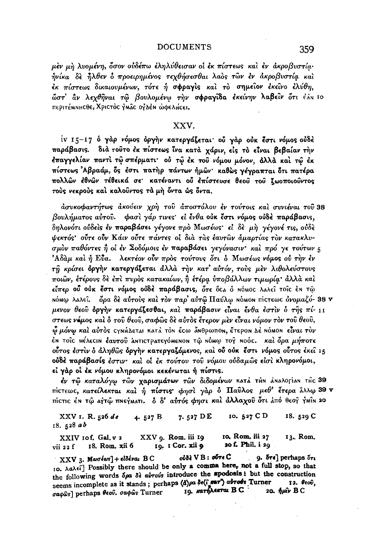μεν μη λυομένη, δσον ούδέπω εληλύθεισαν οί εκ πίστεως και εν άκροβυστία· ηνίκα δε ήλθεν ο προειρημένος τεχθήσεσθαι λαός των εν ακροβυστία και έκ πίστεως δικαιουμένων, τότε ή σφραγίς και το σημείον εκείνο ελύθη, ώστ' αν λεχθήναι τω βουλομένω την σφραγίδα εκείνην λαβείν ότι έλη το περιτέΜΝΗ Cθε, Χριστός γΜΑΣ ΟΥΔΕΝ ώφελμεει.

# XXV.

iv 15-17 ο γάρ νόμος όργήν κατεργάζεται ού γάρ ούκ έστι νόμος ούδέ παράβασις. διά τούτο έκ πίστεως ίνα κατά χάριν, είς το είναι βεβαίαν την έπαγγελίαν παντί τώ σπέρματι· ού τώ έκ του νόμου μόνον, άλλά και τώ έκ πίστεως Αβραάμ, ός έστι πατήρ πάντων ήμων· καθώς γέγραπται ότι πατέρα πολλών έθνών τέθεικά σε κατέναντι ού έπίστευσε θεού του ζωοποιούντος τούς νεκρούς και καλούντος τα μή όντα ώς όντα.

άσυκοφαντήτως άκούειν χρή του άποστόλου έν τούτοις και συνιέναι του 38 βουλήματος αύτου. φασί γάρ τινες εί ένθα ούκ έστι νόμος ούδέ παράβασις, δηλονότι ούδείς έν παραβάσει γέγονε πρό Μωσέως· εί δε μη γέγονέ τις, ούδε ψεκτός' ούτε ούν Κάιν ούτε πάντες οί δια τας έαυτων άμαρτίας τον κατακλυσμόν παθόντες ή οι έν Σοδόμοις έν παραβάσει γεγόνασιν· και πρό γε τούτων 5 Άδαμ και ή Εύα. λεκτέον ούν προς τούτους ότι ο Μωσέως νόμος ού την εν τη κρίσει όργην κατεργάζεται άλλά την κατ' αύτόν, τούς μεν λιθολεύστους ποιών, έτέρους δε έπι πυρός κατακαίων, ή έτέρα υποβάλλων τιμωρία· άλλα και είπερ ού ούκ έστι νόμος ούδε παράβασις, ότε ός ο ο ΝόΜΟς λαλεί τοις έΝ τώ ΝόΜω λαλεί. δρα δε αύτους και τον παρ' αύτω Παύλω ΝόΜΟΝ πίστεως ονομαζό- 38 ν μενον θεού όργήν κατεργάζεσθαι, και παράβασιν είναι ένθα έστιν ο της πί-11 στεως νέμος και δ του θεου, σαφώς δε αυτός έτερον μεν είναι νόμον τον του θεου, <u>Φμόνω καὶ αὐτὸς cynhλεται κατά τὸn ἔcω ἄnθρωποn. ἔτεροn λὲ nómon εἶναι τὸν</u> έΝ τοΐς ΜέλεςΙΝ έαυτοΰ ΔΝΤΙΣΤΡΑΤΕΥΟΜΕΝΟΝ Τῶ ΝΟΜΦ τοΥ ΝΟΟΣ. Καὶ Θρα μήποτε ούτος έστιν ο άληθως όργην κατεργαζόμενος, και ού ούκ έστι νόμος ούτος έκει 15 ούδε παράβασίς έστιν· καί οί έκ τούτου του νόμου ούδαμως είσι κληρονόμοι, εί γάρ οι έκ νόμου κληρονόμοι κεκένωται ή πίστις.

έν τῷ καταλόγω τῶν χαρισμάτων τῶν διδομένων κατά τΗΝ ἀΝαλογίαΝ τΗς 39 πίστεως, κατείλεκται και ή πίστις φησι γάρ ο Παύλος μεθ' έτερα άλλω 39 ν πίστις έν τώ αγτώ πνεγματι. δ δ' αύτός φησι και άλλαχού ότι άπό θεογ γμίν 20

7.527 DE 10. 527 CD XXV 1. R. 526 de 18. 529 C 4.  $527 B$  $18.528ab$ 

XXV q. Rom. iii 19 10, Rom, iii 27 XXIV 10f. Gal. v 2 13. Rom. 20 f. Phil. i 29 18. Rom. xii 6 19. I Cor. xii 9 vii 22 f

ούδε V B: ούτε C 9.  $5r\epsilon$ ] perhaps  $5r\epsilon$  $XXY_3$ . Masséas] + előévai BC 10.  $\lambda a \lambda \epsilon \tilde{i}$  Possibly there should be only a comma here, not a full stop, so that the following words δρα δε αυτούs introduce the apodosis: but the construction seems incomplete as it stands; perhaps (d) a de(i war) abrobs Turner 12. Окоб. 19. KarhAenral B.C. 20. ήμιν BC σαφώς perhaps θεού, σαφώς Turner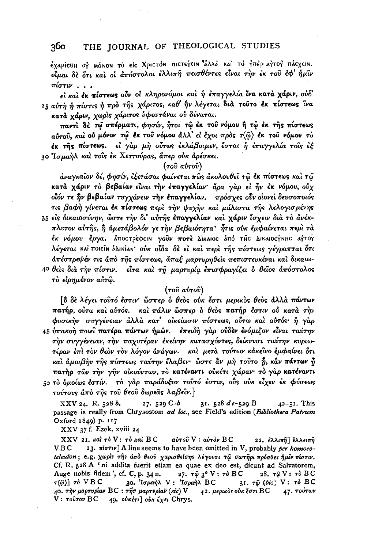έχαρίςθη ος ΜόΝΟΝ το είς Χριςτόν πιςτεγειν άλλα και το γπέρ αγτος πάςχειν. οίμαι δε ότι και οι απόστολοι ελλιπή πεισθέντες είναι την εκ του εφ' ήμιν  $\pi \omega$ 

εί και έκ πίστεως ούν οι κληρονόμοι και ή επαγγελία ίνα κατά χάριν, ούδ' 25 αύτη ή πίστις ή πρό της χάριτος, καθ' ήν λέγεται διά τούτο έκ πίστεως ίνα κατά χάριν, χωρίς χάριτος υφεστάναι ού δύναται.

παντί δέ τω σπέρματι, φησίν, ήτοι τω έκ του νόμου ή τω έκ της πίστεως αύτου, καί ου μόνον τω έκ του νόμου άλλ' εί έχοι πρός τ $\langle \hat{\omega} \rangle$  έκ του νόμου το έκ τής πίστεως. εί γάρ μή ούτως έκλάβοιμεν, έσται ή έπαγγελία τοῦς ἐξ 30 Ίσμαήλ και τοις έκ Χεττούρας, άπερ ούκ αρέσκει.

### $(700 \, \text{a} \cdot 700)$

άναγκαΐον δέ, φησίν, έξετάσαι φαίνεται πῶς ἀκολουθεῖ τῶ ἐκ πίστεως καὶ τῶ κατά χάριν το βεβαίαν είναι την επαγγελίαν άρα γαρ εί ήν έκ νόμου, ούχ οΐόν τε ην βεβαίαν τυγχάνειν την έπαγγελίαν. πρόσχες ούν οίονει δευσοποιός τις βαφή γίνεται έκ πίστεως περί την ψυχήν και μάλιστα της λελογισμένης 35 είς δικαιοσύνην, ώστε την δι' αύτης επαγγελίαν και χάριν ίσχειν δια το άνέκπλυτον αύτης, ή άμετάβολόν γε την βεβαιότητα ήτις ούκ εμφαίνεται περί τα έκ νόμου έργα. Δποστρέφειν γούν ποτέ Δίκαιος Δπό της Δικαιος γνης αγτογ λέγεται καί ποιείν δλικίαν ούκ οΐδα δε εί και περι της πίστεως γέγραπται ότι απέστρεψέν τις από της πίστεως, άπαξ μαρτυρηθείς πεπιστευκέναι και δικαιω-40 θείς δια την πίστιν. είτα και τη μαρτυρία επισφραγίζει ο θείος απόστολος τό είρημένον αύτω.

#### $(700 \text{ at} 700)$

δ δε λέγει τουτό έστιν' ώσπερ ο θεός ούκ έστι μερικός θεός άλλά πάντων πατήρ, ούτω και αύτός. και πάλιν ώσπερ ο θεός πατήρ έστιν ού κατά την φυσικήν συγγένειαν άλλα κατ' οικείωσιν πίστεως, ούτω και αυτός ή γαρ 45 ύπακοή ποιεί πατέρα πάντων ήμων. επειδή γάρ ούδεν ενόμιζον είναι ταύτην την συγγένειαν, την παχυτέραν εκείνην κατασχόντες, δείκνυσι ταύτην κυριωτέραν έπι τον θεον τον λόγον άνάγων. και μετά τούτων κάκεινο εμφαίνει ότι και άμοιβην της πίστεως ταύτην έλαβεν· ὦστε άν μη τουτο ή, κάν πάντων ή πατήρ των την γην οικούντων, το κατέναντι ούκέτι χώραν· το γαρ κατέναντι 50 το δμοίως έστίν. το γάρ παράδοξον τουτό έστιν, ούς ούκ είχεν έκ φύσεως τούτους άπό της του θεού δωρεάς λαβείν.]

XXV 24. R. 528 b.  $27.529C-b$ 31. 528  $de$ -529 B  $42 - 51$ . This passage is really from Chrysostom ad loc., see Field's edition (Bibliotheca Patrum Oxford 1849) p. 117

XXV 37 f. Ezek. xviii 24

 $XXV$  21.  $\kappa$ aì  $\tau$ ò  $V$ :  $\tau$ ò  $\kappa$ aì  $BC$ αύτου V : αύτον BC 22. ελλιπη ελλειπη 23.  $\pi i \sigma \tau \nu$ ] A line seems to have been omitted in V, probably per homoeo-**VBC** teleuton; e.g. χωρίς της από θεού χαρισθείσης λέγουσι τω σωτηρι πρόσθες ήμιν πίστιν. Cf. R. 528 A 'ni addita fuerit etiam ea quae ex deo est, dicunt ad Salvatorem, Auge nobis fidem', cf. C, p. 34 n. 27.  $\tau \hat{\varphi}$  3° V :  $\tau \delta$  BC 28.  $\tau \hat{\varphi}$  V:  $\tau \delta$  BC 30. Ισμαήλ V: Ισραήλ BC 31.  $\tau \hat{\omega}$  (bis) V:  $\tau \delta$  BC  $\tau(\hat{\varphi})$   $\vec{r}$  VBC 40. την μαρτυρίαν BC: την μαρτυρίαν (sic) V 42. μερικὸs οὐκ ἔστι BC 47. τούτων V: τούτον BC 49. ούκέτι] ούκ έχει Chrys.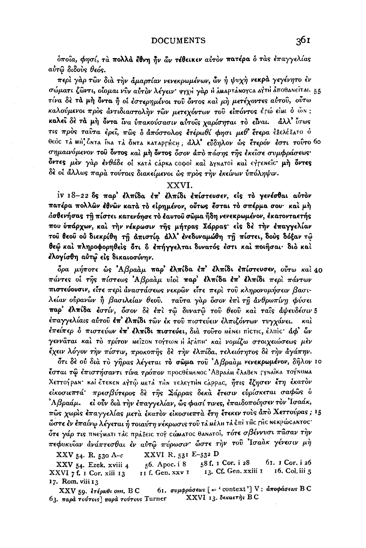ύποια, φησί, τα πολλά έθνη ήν ών τέθεικεν αυτόν πατέρα ο τας έπαγγελίας αύτω διδούς θεός.

περί γάρ τῶν διὰ τὴν άμαρτίαν νενεκρωμένων, ὧν ἡ ψυχὴ νεκρά γεγένητο ἐν σώματι ζώντι, οίσμαι νύν αύτον λέγειν· ψγχιί γάρ η άΜαρτάΝογκα αγτή άποθαΝείται. 55 τίνα δε τα μή όντα ή οι έστερημένοι του όντος και μη μετέχοντες αύτου, ούτω καλούμενοι πρός αντιδιαστολήν των μετεχόντων του είπόντος έγώ είμι ό ών; καλεί δε τα μη όντα ίνα υπακούσασιν αύτοις χαρίσηται το είναι. άλλ' ίσως τις πρός ταύτα έρει, πως δ άπόστολος έτέρωθί φησι μεθ' έτερα έξελέξατο ό θεός τα ΜΗ ζήτα Γηα τα όΝτα καταργήςΗ; άλλ' εύδηλον ώς έτερόν έστι τούτο 60 σημαινόμενον του όντος και μη όντος όσον άπο πάσης της εκείσε συμφράσεως όντες μέν γάρ ένθάδε οι κατά cápκα coφοί και Δγηατοί και εγτεπείς μή όντες δὲ οἱ ἄλλως παρὰ τούτοις διακείμενοι ὡς πρὸς τὴν ἐκείνων ὑπόληψιν.

#### XXVI.

iv 18-22 δς παρ' έλπίδα έπ' έλπίδι επίστευσεν, είς το γενέσθαι αύτον πατέρα πολλών έθνών κατά το είρημένον, ούτως έσται το σπέρμα σου· και μή άσθενήσας τη πίστει κατενόησε το έαυτού σώμα ήδη νενεκρωμένον, έκατονταετής που ύπάρχων, και την νέκρωσιν της μήτρας Σάρρας είς δε την έπαγγελίαν τού θεού ού διεκρίθη τη απιστία άλλ' ένεδυναμώθη τη πίστει, δούς δόξαν τώ θεώ και πληροφορηθείς ότι δ έπήγγελται δυνατός έστι και ποιήσαι· διο και έλογίσθη αὐτώ εἰς δικαιοσύνην.

δρα μήποτε ως Αβραάμ παρ' έλπίδα έπ' έλπίδι επίστευσεν, ούτω και 40 πάντες οί της πίστεως Αβραάμ υίοι παρ' έλπίδα έπ' έλπίδι περι πάντων πιστεύουσιν, είτε περί άναστάσεως νεκρών είτε περί του κληρονομήσειν βασιλείαν οὖρανὣν ἢ βασιλείαν θεοῦ. γαῦτα γὰρ ὅσον ἐπὶ τῆ ἀνθρωπίνῃ φύσει παρ' έλπίδα έστίν, όσον δε έπι τω δυνατώ του θεού και ταίς άψευδέσιν 5 έπαγγελίαις αύτοῦ ἐπ' ἐλπίδι τῶν ἐκ τοῦ πιστεύειν ἐλπιζόντων τυγχάνει. каì έπείπερ δ πιστεύων έπ' έλπίδι πιστεύει, διά τοΐτο ΜέΝει πίςτις, έλπίς· άφ' ὧν γεννάται καὶ τὸ τρίτον ΜεῖzοΝ τογτωΝ Η ἀτάπΗ· καὶ νομίζω στοιχειώσεως μὲν έχειν λόγον την πίστιν, προκοπής δε την ελπίδα, τελειότητος δε την άγάπην.

ότι δε ού δια το γήρας λέγεται το σώμα του 'Αβρααμ νενεκρωμένον, δήλον 10 **έσται τῷ ἐπιστήσαντι τίνα τρόπον** προςθέμεnος ἈΒραἀμ ἔλαΒεn Γγnαῖκα τογ័nομα Χεττογραν· καί έτεκεν αγτώ μετά τΗν τελεγτΗν cάρρας, *ήτις έζησεν έτη έκ*ατον είκοσιεπτά πρεσβύτερος δε της Σάρρας δεκα έτεσιν ευρίσκεται σαφώς δ <sup>2</sup>Αβραάμ. εἰ οὖν διὰ τὴν ἐπαγγελίαν, ὧς φασί τινες, ἐπαιδοποίησεν τὸν Ἰσαάκ, πώς χωρίς έπαγγελίας μετά έκατον είκοσιεπτά έτη έτεκεν τους άπο Χεττούρας; 15 ώστε έν έπαίνω λέγεται ή τοιαύτη νέκρωσις τοῦ τἀ ΜέλΗ τἀ ἐπὶ τĤς ΓĤς Νεκρώς ΑΝτος· δτε γάρ τις πηεγματι τλα πράξεια τογ αώματος θαηατοΐ, τότε σβέννυσι πάσαν την πεφυκυΐαν ανάπτεσθαι έν αύτώ πύρωσιν ώστε την τού Ίσαακ γένεσιν μή

XXVI R. 531 E-532 D

XXV 54. R. 530 A- $c$ 

58 f. 1 Cor. i 28 61. I Cor. i 26 56. Apoc. i 8 XXV 54. Ezek. xviii 4 13. Cf. Gen. xxiii 1 16. Col. iii 5 XXVI 7 f. 1 Cor. xiii 13 II f. Gen. xxv I 17. Rom. viii 13

61. συμφράσεως [= 'context'] V: αποφάσεως BC  $XXV$  59. ετέρωθι οπ. Β C XXVI 13. δεκαετής BC  $63.$  παρά τούτοις] παρά τούτους Turner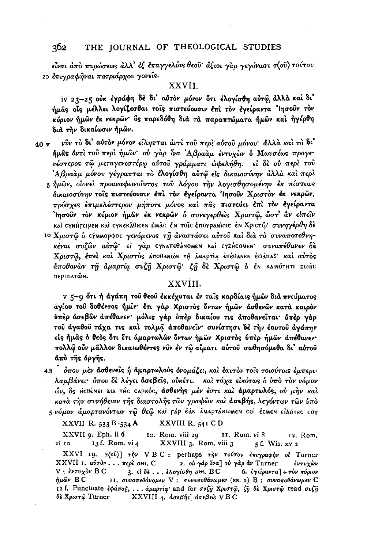είναι άπό πυρώσεως άλλ' έξ έπαγγελίας θεού άξιοι γαρ γεγόνασι π(ού) τούτου 20 επιγραφήναι πατριάρχου γονείς.

# XXVII.

iv 23-25 ούκ έγράφη δε δι' αύτον μόνον ότι ελογίσθη αύτω, άλλά και δι' ήμας οίς μέλλει λογίζεσθαι τοίς πιστεύουσιν έπι τον έγείραντα 'Ιησούν τον κύριον ήμῶν ἐκ νεκρῶν· ὃς παρεδόθη διὰ τὰ παραπτώματα ήμῶν καὶ ἠγέρθη διά την δικαίωσιν ήμων.

- νົυν το δι' αυτον μόνον είληπται άντι του περι αύτου μόνου· άλλα και το δι' 40 v ήμας άντι του περι ήμων ου γαρ ίνα Αβρααμ έντυχων ο Μωυσέως προγενέστερος τώ μεταγενεστέρω αύτού γράμματι ώφελήθη. εί δε ού περί τού 'Αβραάμ μόνου γέγραπται τὸ έλογίσθη αὐτῷ εἰς δικαιοσύνην ἀλλὰ καὶ περὶ 5 ήμων, οίονεί προαναφωνούντος του λόγου την λογισθησομένην έκ πίστεως
	- δικαιοσύνην τοις πιστεύουσιν έπι τον έγείραντα 'Ιησούν Χριστον έκ νεκρών, πρόσχες έπιμελέστερον μήποτε μόνος και πας πιστεύει έπι τον έγείραντα  $^2$  πσοῦν τὸν κύριον ήμῶν ἐκ νεκρῶν ὁ συνεγερθεὶς Χριστῶ, ὦστ' ἄν εἰπεῖν καὶ cγnήτειρεn καὶ cγneκάθιcen μmâc én τοῖc ἐπογραnίοιc ἐn Χριcτῷ· συνηγέρθη δὲ
	- ιο Χριστώ δ εγΜΜΟρφος γενόμενος τη άναστάσει αύτου και δια το συναποτεθνηκέναι συζών αύτώ εί γάρ τγναπεθάνομεν και τγεήτομεν συναπέθανεν δε Χριστώ, έπει και Χριστός αποθανών τη αΜαρτία απέθανεν έφάπαξ· και αύτος άποθανών τη άμαρτία συζη Χριστώ ζη δε Χριστώ ο έν καινότητι zωής περιπατών.

### XXVIII.

v 5-9 ότι ή αγάπη του θεου εκκέχυται εν ταίς καρδίαις ήμων διά πνεύματος άγίου του δοθέντος ήμιν έτι γάρ Χριστός όντων ήμων ασθενων κατά καιρόν ύπέρ άσεβων απέθανεν· μόλις γάρ ύπέρ δικαίου τις αποθανείται· ύπέρ γάρ τού άγαθού τάχα τις και τολμά αποθανείν· συνίστησι δε την έαυτού αγάπην είς ήμας ο θεός ότι έτι άμαρτωλών όντων ήμων Χριστός ύπερ ήμων απέθανεν· πολλώ ούν μάλλον δικαιωθέντες νύν έν τω αίματι αύτου σωθησόμεθα δι' αύτου άπό της όργης.

43 - όπου μέν άσθενείς ή άμαρτωλούς όνομάζει, και έαυτον τοίς τοιούτοις έμπεριλαμβάνει· όπου δε λέγει άσεβείς, ούκέτι. και τάχα εικότως ο ύπο τον νόμον ών, δε μεθένει Δια της εαρκός, άσθενής μέν έστι και άμαρτωλός, ού μήν και κατά την συνήθειαν της διαστολής των γραφών και άσεβής, λεγόντων των ύπο 5 νόμον άμαρτανόντων τῷ θεῷ καὶ τὰρ ἐλη δΜΑρτάΝωΜΕΝ COI ἐCMEN εἰΔότες coy

XXVIII R. 541 CD XXVII R. 533 B-534 A

XXVII 9. Eph. ii 6 10. Rom, viii 29 11. Rom, vi 8 12. Rom. vi 10 13f. Rom. vi 4 XXVIII 3. Rom. viii 3 5f. Wis. xv 2

XXVI 19. τ(ού)] την VBC: perhaps την τούτου έπιγραφήν οι Turner XXVII 1. αύτον . . . περί om. C 2. ού γάρ ΐνα] ού γάρ άν Turner έντυχὼν  $V: \ell\nu\tau\nu\chi\delta\nu$  B C 3. «ίδε... έλογίσθη οm. BC 6. εγείραντα] + τον κύριον ήμῶν ΒC 11. συναπεθάνομεν V : συναποθάνωμεν (ss. o) B : συναποθάνωμεν C 12 f. Punctuate εφάπαξ, ... άμαρτία and for συζή Χριστώ, ζή δε Χριστώ read συζή δè Χριστώ Turner  $\bold{XXVIII}$  4. άσεβής] άσεβείς V B C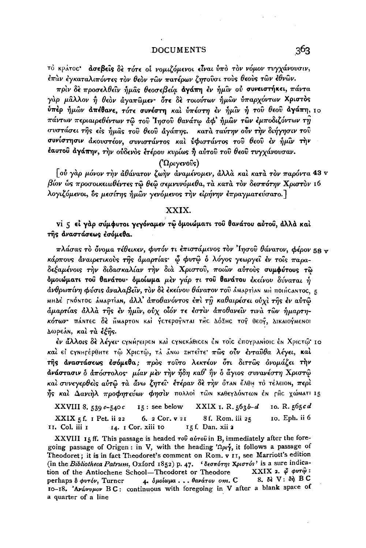τό κράτος άσεβείς δε τότε οι νομιζόμενοι είναι ύπό τον νόμον τυγχάνουσιν, έπὰν ἐγκαταλιπόντες τὸν θεὸν τῶν πατέρων ζητοῦσι τοὺς θεοὺς τῶν ἐθνῶν.

πρίν δε προσελθεΐν ήμας θεοσεβεία αγάπη εν ήμιν ού συνειστήκει, πάντα γάρ μάλλον ή θεόν άγαπώμεν· ότε δε τοιούτων ήμών ύπαρχόντων Χριστός ύπερ ήμων απέθανε, τότε συνέστη και υπέστη εν ήμιν ή του θεου αγάπη, 10 πάντων περιαιρεθέντων τώ του Ιησού θανάτω άφ' ήμων των έμποδιζόντων τη συστάσει της είς ήμας του θεου άγάπης. κατά ταύτην ούν την διήγησιν του συνίστησιν άκουστέον, συνιστάντος καὶ ὑφιστάντος τοῦ θεοῦ ἐν ἡμῖν τὴν έαυτού άγάπην, την ούδενός έτέρου κυρίως ή αύτου του θεού τυγχάνουσαν.

### $(\Omega_{\text{0}}\omega_{\text{0}}\hat{v}_{\text{0}})$

 $\lceil$ οὐ γὰρ μόνον τὴν ἀθάνατον ζωὴν ἀναμένομεν, ἀλλὰ καὶ κατὰ τὸν παρόντα 43 v βίον ως προσοικειωθέντες τω θεω σεμνυνόμεθα, τα κατά τον δεσπότην Χριστον 16 λογιζόμενοι, δε μεσίτης ήμων γενόμενος την ειρήνην επραγματεύσατο.]

# XXIX.

vi 5 εί γάρ σύμφυτοι γεγόναμεν τω όμοιώματι του θανάτου αύτου, άλλά καί της αναστάσεως εσόμεθα.

πλάσας τὸ ὄνομα τέθεικεν, φυτόν τι ἐπιστάμενος τὸν Ἰησοῦ θάνατον, φέρον 58 v κάρπους αναιρετικούς της αμαρτίας· φ φυτώ ο λόγος γεωργεί εν τοίς παραδεξαμένοις την διδασκαλίαν την διά Χριστού, ποιών αύτους συμφύτους τω δμοιώματι του θανάτου· δμοίωμα μέν γάρ τι του θανάτου έκείνου δύναται ή άνθρωπίνη φύσις άναλαβεῖν, τὸν δὲ ἐκείνου θάνατον τοῦ ἀΜΑΡτίΑΝ ΜΗ πΟΙΗ CANTOC, 5 ΜΗΔέ ΓΝΟΝΤΟΣ ΔΜΑΡΤΙΑΝ, άλλ' άποθανόντος έπι τη καθαιρέσει ούχι της έν αύτω άμαρτίας άλλα της έν ήμιν, ούχ οίόν τε έστιν άποθανείν τινα των ήμαρτηκότων πάΝτες δε ΗΜΑΡΤΟΝ και γετερογΝται της ΔόΣΗς τογ θεογ, ΔικαιογΜεΝΟΙ Δωρεάν, και τα έξης.

έν άλλοις δε λέγει· cγnήτειρεn καὶ cγneκάθιcen ἐn τοῖc ἐπογραnίοιc ἐn Χριcτῷ· 10 καί εί σγημτέρθητε τώ Χριστώ, τλ άνω ΖΗτείτε πώς ούν ένταύθα λέγει, καί τής αναστάσεως έσόμεθα; προς τούτο λεκτέον ότι διττώς ονομάζει την άνάστασιν δ άπόστολος· μίαν μεν την ήδη καθ' ήν δ άγιος συνανέστη Χριστώ καί συνεγερθείς αύτω τα άνω ζητεί· έτέραν δε την όταν έλθη το τέλειον, περί ής και Δανιήλ προφητεύων φησιν πολλοί των καθεγλόντων έν της χώΜΑΤΙ 15

15: see below  $XXIX$  1. R. 563b-d 10. R. 565cd XXVIII 8. 539  $e$ -540  $c$  $\text{XXIX}_5$ f. 1 Pet. ii 22 6. 2 Cor. v 21 8f. Rom. iii 25 10. Eph. ii 6 II. Col. iii I 15 f. Dan. xii 2 14. I Cor. xiii 10

XXVIII 15 ff. This passage is headed  $\tau \circ \hat{\theta}$  a  $\hat{\theta} \tau \circ \hat{\theta}$  in B, immediately after the foregoing passage of Origen: in V, with the heading  $\Omega_{\mu}$ , it follows a passage of Theodoret; it is in fact Theodoret's comment on Rom. v II, see Marriott's edition (in the Bibliotheca Patrum, Oxford 1852) p. 47. 'δεσπότης Χριστός' is a sure indica-XXIX 2.  $\phi$  φυτ $\hat{\omega}$ : tion of the Antiochene School-Theodoret or Theodore  $8.$  δε  $V:$  δή  $B C$ perhaps δ φυτόν, Turner 4. δμοίωμα...θανάτου οm. C 10-18. 'Avavupov BC: continuous with foregoing in V after a blank space of a quarter of a line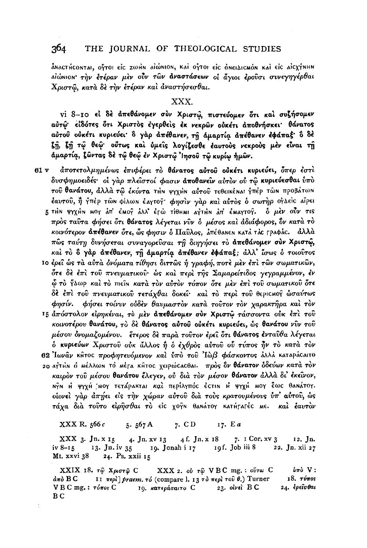ANACTHCONTAI, OPTOI EIC ZWHN AIWNION, KAI OPTOI EIC ONEILICMON KAI EIC AICXYNHN ΔΙώΝΙΟΝ την έτέραν μεν ούν των άναστάσεων οι άγιοι ερούσι συνεγηγέρθαι Χριστώ, κατά δε την έτέραν και αναστήσεσθαι.

# XXX.

vi 8-10 εί δέ άπεθάνομεν σύν Χριστώ, πιστεύομεν ότι και συζήσομεν αύτώ είδότες ότι Χριστός έγερθείς έκ νεκρών ούκέτι αποθνήσκει θάνατος αύτου ούκέτι κυριεύει δ γάρ απέθανεν, τη άμαρτία απέθανεν εφάπαξ δ δέ ζη, ζη τώ θεώ ούτως και ύμεις λογίζεσθε έαυτους νεκρούς μέν είναι τη άμαρτία, ζώντας δέ τώ θεώ έν Χριστώ Ιησού τώ κυρίω ήμών.

- άποτετολμημένως έπιφέρει το θάνατος αύτου ούκέτι κυριεύει, όπερ έστι 61 v δυσφημοειδές· οί γαρ πλείστοί φασιν άποθανείν αύτον ού τω κυριεύεσθαι ύπο τού θανάτου, άλλα τώ έκόντα τΗΝ ψγχΗΝ αύτού τεθεικέΝαι γπέρ τώΝ προβάτωΝ έαυτού, ή γπέρ τών φίλων έαγτογ φησίν γάρ και αύτος ο σωτήρ ογλείς αίρει 5 τΗΝ ΨΥχΗΝ ΜΟΥ ΔΠ' ΕΜΟΥ ΔΛΛ' ΕΓώ ΤίθΗΜΙ ΔΥΤΗΝ ΔΠ' ΕΜΑΥΤΟΥ. 6 μεν ούν τις πρός ταύτα φήσει ότι θάνατος λέγεται νύν ο μέσος και αδιάφορος, όν κατά τό κοινότερον απέθανεν ότε, ώς φησιν δ Παύλος, απέθαΝεΝ κατά τάς γραφάς. άλλά πώς ταύτη δυνήσεται συναγορεύσαι τη διηγήσει το απεθάνομεν σύν Χριστώ, καί το δ γάρ απέθανεν, τη άμαρτία απέθανεν εφάπαξ; άλλ' ίσως ο τοιούτος
	- 10 έρει ως τα αύτα ονόματα τίθησι διττως ή γραφή, ποτε μεν έπι των σωματικών, δτε δε έπι του πνευματικού· ώς και περι της Σαμαρείτιδος γεγραμμένον, έν φ το γλωρ και το πιείν κατα τον αύτον τόπον ότε μεν επι του σωματικού ότε δέ έπι του πνευματικού τετάχθαι δοκεί· και το περί του θεριςΜού ώσαύτως φησίν. φήσει τοίνυν ούδεν θαυμαστον κατά τούτον τον χαρακτήρα και τον
	- 15 απόστολον είρηκέναι, το μεν απεθάνομεν σύν Χριστώ τάσσοντα ούκ έπι του κοινοτέρου θανάτου, το δε θάνατος αύτου ούκέτι κυριεύει, ώς θανάτου νύν του μέσου δνομαζομένου. έτερος δε παρά τούτον έρει ότι θάνατος ενταύθα λέγεται δ κυριεύων Χριστού ούκ άλλος ή δ έχθρος αύτου ού τύπος ήν το κατά τον 62 Ιωνάν κήτος προφητευόμενον και ύπο του Ιώβ φάσκοντος άλλα καταράςαιτο 20 αγτΗΝ Ο ΜέλλωΝ το Μέτα ΚΗΤΟς χειρώς αθαι. πρός δν θάνατον δδεύων κατά τον καιρόν του μέσου θανάτου έλεγεν, ού διά τον μέσον θάνατον άλλα δι' έκεινον, ΝΥΝ Η ΨΥΧΗ ΜΟΥ ΤΕΤΑΡΑΚΤΑΙ ΚΩΙ ΠΕΡΙΛΥΠΟΣ ΕΣΤΙΝ Η ΨΥΧΗ ΜΟΥ ΈΦΕ θΑΝΑΤΟΥ. οίονεί γάρ άπήει είς την χώραν αύτου διά τούς κρατουμένους ύπ' αύτου, ώς τάχα δια τούτο είρησθαι το είς χογη θανάτογ κατήτατές Με. και έαυτον

XXX R. 566 c 5.  $567A$ 7. CD 17. Ea

 $XXX<sub>3</sub>$ . Jn. x 15 4. Jn. xv 13 4 f. Jn. x 18 7.  $I$  Cor.  $xV$  3 12. In. 19f. Job iii 8 13. Jn. iv 35 19. Jonah i 17 22. Jn. xii 27  $iv 8-15$ Mt. xxvi 38 24. Ps. xxii 15

XXIX 18. τῷ Χριστῷ C XXX 2. οὐ τῷ VBC mg.: ούτω C  $\mathbf{v}$ πό V:  $\frac{\partial \pi \partial}{\partial \sigma}$  BC 11 περί] praem. τό (compare l. 13 το περί του θ.) Turner 18. τύπος  $V B C mg$ , :  $\tau \delta \pi o_S C$ 23. olvel B C 24. ερείσθαι 19. κατεράσαιτο C B<sub>C</sub>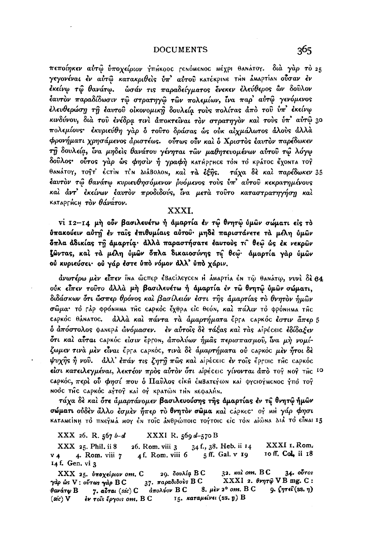πεποίηκεν αύτώ ύποχείριον γπήκοος τενόμενος μέχρι θανάτογ. διά γάρ τὸ 25 γεγονέναι έν αύτω κατακριθείς ύπ' αύτου κατέκριΝε τΗΝ αΜαρτίαΝ ούσαν έν έκείνω τῶ θανάτω. ωσάν τις παραδείνματος ένεκεν έλεύθερος ὣν δοῦλον έαυτον παραδίδωσιν τω στρατηγώ των πολεμίων, ίνα παρ' αύτώ γενόμενος έλευθερώση τη έαυτού οικονομική δουλεία τούς πολίτας άπο του υπ' έκείνω κινδύνου, διά του ένέδρα τινί άποκτείναι τον στρατηγον καί τους υπ' αύτώ 30 πολεμίους· έκυριεύθη γάρ δ τούτο δράσας ως ούκ αίγμάλωτος άλους άλλα φρονήματι χρησάμενος άριστέως. ούτως ούν και ο Χριστος έαυτον παρέδωκεν τη δουλεία, ίνα μηδείς θανάτου γένηται των μαθητευομένων αύτου τω λόγω δούλος ούτος γάρ ώς φησίν ή γραφή κατήρτης τόν το κράτος έχοντα τογ θαΝάτογ, τογτ' έςτίν τιν Διάβολον, και τα έξης. τάχα δε και παρέδωκεν 35 έαυτον τώ θανάτω κυριευθησόμενον ρυόμενος τους υπ' αύτου κεκρατημένους καί άντ' έκείνων έαυτον προδιδούς, ίνα μετά τούτο καταστρατηγήση καί καταρΓής η τον θάνατον.

# XXXI.

vi 12-14 μη ούν βασιλευέτω ή άμαρτία έν τώ θνητώ ύμων σώματι είς τό ύπακούειν αὐτή έν ταῖς ἐπιθυμίαις αὐτοῦ· μηδὲ παριστάνετε τὰ μέλη ὑμῶν δπλα άδικίας τη άμαρτία· άλλά παραστήσατε έαυτούς τι θεώ ώς έκ νεκρών ζώντας, καὶ τὰ μέλη ὑμῶν ὅπλα δικαιοσύνης τῷ θεῷ· ἀμαρτία γὰρ ὑμῶν ού κυριεύσει· ού γάρ έστε ύπο νόμον άλλ' ύπο χάριν.

<mark>άνωτέρω μèν εἶπεν</mark> ἵna ὧcπεp ἐΒacἰλεγcεn Η åmapτia ἐn τῷ θanáτῳ, νυνὶ δ**ὲ 84** ούκ είπεν τούτο άλλα μη βασιλευέτω ή άμαρτία έν τω θνητώ ύμων σώματι, διδάσκων ότι ὧσπερ θρόνος καὶ βασίλειόν έστι τῆς ἁμαρτίας τὸ θνητὸν ἡμῶν σώμα· το τάρ φρόνнмα τῆς саркός ἔχθρα εἰς θεόν, καὶ πάλιν το φρόνнма τῆς CAPKOC BANATOC. άλλά καί πάντα τα άμαρτήματα έργα capκός έστιν άπερ 5 δ άπόστολος φανερά ώνόμασεν. εν αύτοις δε τάξας και τας αιρέςεις εδίδαξεν δτι και αύται capκός είσιν έργοη, άπολύων ήμας περισπασμού, ίνα μη νομίζωμεν τινά μέν είναι έργα capκός, τινά δε άμαρτήματα ού capκός μεν ήτοι δε Ψυχής ή νού. άλλ' έπάν τις ζητή πώς και αίρέσεις έν τοίς έργοις της σαρκός είσι κατειλεγμέναι, λεκτέον πρός αύτον ότι αίρέςεις γίνονται άπό τος Νος της 10 σαρκός, περί ού φησί που ο Παύλος είκη έΜΒατεγων και φγειογΜενος γπό τογ NOOC THC CAPKOC AYTOY KAI OY KPATWN THN KEDAAHN.

τάχα δὲ καὶ ὅτε ἁμαρτάνομεν βασιλευούσης τῆς ἀμαρτίας ἐν τῷ θνητῷ ἡμῶν σώματι ούδεν άλλο έσμεν ήπερ το θνητον σώμα και σάρκες· οι ΜΗ γάρ φησι καταΜείΝΗ τὸ πΝεγΜά ΜΟΥ ἐΝ τΟΙC ἀΝθρώποις τογτοις εἰς τὸΝ αἰῶΝΑ ΔΙΑ ΤΟ εἶΝΑΙ 15

XXX 26. R. 567  $b-d$ XXXI R. 569 d-570 B

XXX 25. Phil. ii 8 26. Rom. viii 3 34 f., 38. Heb. ii 14 XXXI 1. Rom. 4f. Rom. viii  $6$  5ff. Gal. v 19 10 ff. Col. ii 18 4. Rom. viii  $7$  $V_4$ 14 f. Gen. vi 3

29. δουλία Β C 32. Kal om. BC  $34.$   $o\overline{v}$ ros XXX 25. ύποχείριον οm. C  $37.$  παραδιδούς BC<br>C  $\frac{37}{4}$ πολύον BC 8. XXXI 2. θνητώ VB mg. C: γάρ ώς V : ούτως γάρ B C 8.  $\mu$ èv 2° om. B C  $9.$  $\langle \eta \tau \epsilon \hat{i}$ (ss.  $\eta$ ) θανάτφ Β 7. abrai (sic) C  $_{15}$ . καταμείνει (ss. η)  $\bf{B}$  $(\textit{sic})$   $V$  iv rois έργοιs om, B C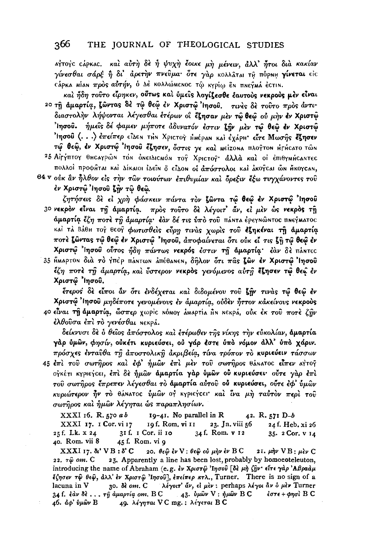αγτογο σάρκας. και αύτη δε ή ψυχη έοικε μη μένειν, άλλ' ήτοι δια κακίαν γίνεσθαι σάρξ ή δι' άρετην πνεύμα· ότε γαρ κολλάται τη πόρημ γίνεται είς .<br>Cápka Mian προς αύτήν, ο Δε κολλώΜεΝΟς τώ κγρίω εν πηεγμά έςτιν.

και ήδη τούτο είρηκεν, ούτως και ύμεις λογίζεσθε έαυτους νεκρούς μεν είναι 20 τη άμαρτία, ζώντας δέ τώ θεώ έν Χριστώ Ίησου. τινές δέ τούτο πρός άντιδιαστολήν λήψονται λέγεσθαι έτέρων οΐ έζησαν μεν τώ θεώ ού μήν έν Χριστώ Ίησου. ήμεις δέ φαμεν μήποτε άδυνατόν έστιν ζήν μεν τω θεω έν Χριστώ Ίησού (...) έπείπερ είλεη τΗΝ Χριστογ ΗΜέραν και έχάρμ· είτε Μωσής έζησεν τώ θεώ, έν Χριστώ Ίησου έζησεν, όστις γε και μείχουα πλογτου Ηρήςατο τών 25 ΑΙΓΥΠΤΟΥ θΗΣΑΥΡώΝ ΤΟΝ ΟΝΕΙΔΙΣΜΟΝ ΤΟΥ ΧΡΙΣΤΟΥ άλλα και οι επιθγΜήζαΝΤΕΣ

πολλοί προφήται καί Δίκαιοι ίδεΐη δ είδοη οι άπόστολοι και άκογεαι ών Ηκογεαη, θ4 ν ούκ αν ήλθον είς την των τοιούτων επιθυμίαν και δρεξιν έξω τυγχάνοντες του έν Χριστώ Ιησού ζην τω θεώ.

ζητήσεις δε εί χρή φάσκειν πάντα τον ζώντα τώ θεώ έν Χριστώ Ίησού 30 νεκρόν είναι τη άμαρτία. πρός τούτο δε λέγοιτ' άν, εί μεν ώς νεκρός τη άμαρτία έζη ποτέ τη άμαρτία· έαν δέ τις ύπό του πάντα έρεγνώντος πνεγνατος καί τά Βάθη το θεο φωτισθείς εύρη τινάς χωρίς του εζηκέναι τη άμαρτία ποτε ζώντας τώ θεώ έν Χριστώ 'Ιησού, αποφαίνεται ότι ούκ εί τις ζη τώ θεώ έν Χριστώ Ίησου ούτος ήδη πάντως νεκρός έστιν τη άμαρτία· έαν δε πάντες 35 ΗΜΑΡΤΟΝ διά το γπέρ πάΝτωΝ απέθαΝΕΝ, δήλον ότι πας ζών έν Χριστώ Ίησου έζη ποτέ τη άμαρτία, και ύστερον νεκρός γενόμενος αύτη έζησεν τω θεώ έν

Χριστώ Ίησου.

έτερος δε είποι αν ότι ενδέχεται και διδομένου του ζήν τινας τώ θεώ εν Χριστώ Ίησου μηδέποτε γενομένους έν άμαρτία, ούδεν ήττον κάκείνους νεκρούς 40 είναι τη άμαρτία, ώσπερ χωρίς ΝόΜογ άΜΑρτία ΑΝ ΝΕΚΡά, ούκ έκ του ποτέ ζην έλθούσα έπι το γενέσθαι Νεκρά.

δείκνυσι δὲ ὁ θεῖος ἀπόστολος καὶ ἐτέρωθεν τῆς νίκης τὴν εὐκολίαν, ἁμαρτία γάρ ύμων, φησίν, ούκέτι κυριεύσει, ού γάρ έστε ύπο νόμον άλλ' ύπο χάριν. πρόσχες ένταυθα τη άποστολικη άκριβεία, τίνα τρόπον το κυριεύειν τάσσων 45 έπι του σωτήρος και έφ' ήμων έπι μεν του σωτήρος θάνατος είπεν αγτογ ογκέτι κγριεγεει, έπι δε ήμων άμαρτία γάρ ύμων ού κυριεύσει· ούτε γαρ έπι τού σωτήρος έπρεπεν λέγεσθαι το άμαρτία αύτού ού κυριεύσει, ούτε έφ' ύμων κυριώτερον ήν το θάνατος ύμων οι κγριείτει και ίνα μη ταύτον περί του σωτήρος και ήμων λέγηται ως παραπλησίων.

XXXI 16. R. 570 ab  $19-41$ . No parallel in R 42. R. 571 D-b XXXI 17. I Cor. vi 17 19 f. Rom. vi 11 23. Jn. viii 56 24 f. Heb. xi 26 34 f. Rom. v 12  $25f$ , Lk.  $x 24$ 31 f. 1 Cor. ii 10 35. 2 Cor. v 14 40. Rom. vii 8 45 f. Rom. vi 9

 $\text{XXXI}$  17.  $\delta t$ ' VB:  $\delta$ ' C 20. θε $\hat{\omega}$  έν V : θε $\hat{\omega}$  ού μήν έν B C 23. Apparently a line has been lost, probably by homoeoteleuton, 22. *r* $\hat{\omega}$  om. C introducing the name of Abraham (e.g. εν Χριστώ 'Ιησού [δε μη ζην' είτε γάρ 'Αβραάμ έζησεν τ $\hat{\varphi}$  θε $\hat{\varphi}$ , άλλ' έν Χριστ $\hat{\varphi}$  'Ιησού], έπείπερ κτλ., Turner. There is no sign of a 30. δε οm. C λέγοιτ' άν, εί μεν: perhaps λέγοι αν δ μεν Turner lacuna in V  $34$  f. εαν δε ... τη αμαρτία om. BC 43. δμών V: ήμών BC έστε + φησὶ Β C 46. άφ' ύμων Β 49. λέγηται VC mg.; λέγεται BC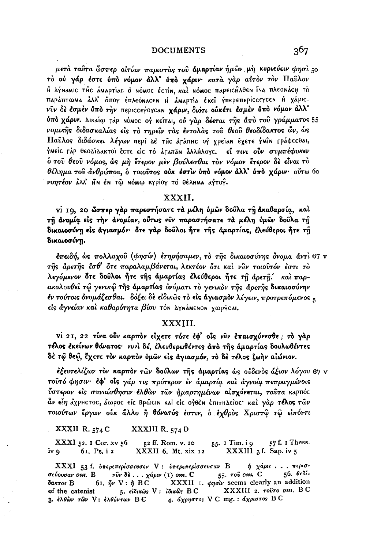μετά ταῦτα ὦσπερ αἰτίαν παριστάς τοῦ άμαρτίαν ήμῶν μὴ κυριεύειν φησὶ 50 τό ού γάρ έστε ύπό νόμον άλλ' ύπό χάριν· κατά γάρ αύτον τον Παύλον Η ΔΥΝΑΜΙΟ ΤΗΣ ΑΜΑΡΤΙΑΣ Ο ΝΟΜΟΣ ΕΣΤΙΝ, ΚΩΙ ΝΟΜΟΣ ΠΑΡΕΙΣΗλθεΝ ΪΝΑ ΠΛΕΟΝΑΣΗ ΤΟ пара́птома а̀лл' оீпоу ѐплео́насен н амартіа е́кеі̂ у́переперіссеусен н ха́ріс. νύν δε έσμεν ύπο την περιςςεγογςαΝ χάριν, διότι ούκέτι έσμεν ύπο νόμον άλλ' υπό χάριν. Δικαίω Γάρ ΝόΜΟC ος κείται, ού γάρ δέεται της άπο του γράμματος 55 νομικής διδασκαλίας είς το τηρείν τας έντολας του θεού θεοδίδακτος ών, ώς Παΰλος διδάσκει λέγων περί Δε της ατάπης ος γρείαν έχετε γμίν Γράφεςθαι, ΥΜΕΊΟ ΓΑΡ ΘΕΟΔΙΔΑΚΤΟΙ ΈΣΤΕ ΕΙΣ ΤΟ ΑΓΑΠΑΝ ΑλλΗλΟΥΣ. ΕΙ τινι ούν συμπέφυκεν δ του θεου νόμος, ώς μη έτερον μεν βούλεσθαι τον νόμον έτερον δε είναι το θέλημα του άνθρώπου, ο τοιούτος ούκ έστιν ύπο νόμον άλλ' ύπο χάριν· ούτω 60 νοητέον άλλ' ΗΝ έΝ τώ ΝόΜω Κγρίογ το θέληΜα αγτογ.

#### XXXII.

vi 19, 20 ώσπερ γάρ παρεστήσατε τά μέλη ύμων δούλα τη άκαθαρσία, καί τη ανομία είς την ανομίαν, ούτως νύν παραστήσατε τα μέλη ύμων δούλα τη δικαιοσύνη είς άγιασμόν· ότε γάρ δουλοι ήτε της άμαρτίας, έλεύθεροι ήτε τη δικαιοσύνη.

έπειδή, ώς πολλαχοῦ (φησίν) ἐτηρήσαμεν, τὸ τῆς δικαιοσύνης ὄνομα ἀντὶ 67 ν της αρετης έσθ' δτε παραλαμβάνεται, λεκτέον ότι και νυν τοιουτόν έστι το λεγόμενον ότε δοῦλοι ἦτε τῆς άμαρτίας ἐλεύθεροι ἦτε τῆ ἀρετῆ.΄ καὶ παρακολουθεί τώ γενικώ της άμαρτίας όνόματι το γενικον της άρετης δικαιοσύνην έν τούτοις όνομάζεσθαι. δόξει δε είδικως το είς άγιασμον λέγειν, προτρεπόμενος ε είς άγνείαν και καθαρότητα βίου τον ΔγηάΜενον χωρήςαι.

### XXXIII.

vi 21, 22 τίνα ούν καρπόν είχετε τότε έφ' οίς νύν επαισχύνεσθε; τό γάρ τέλος εκείνων θάνατος· νυνί δέ, ελευθερωθέντες από της αμαρτίας δουλωθέντες δέ τῷ θεῷ, ἔχετε τὸν καρπὸν ὑμῶν εἰς άγιασμόν, τὸ δὲ τέλος ζωὴν αἰώνιον.

έξευτελίζων τὸν καρπὸν τῶν δούλων τῆς ἀμαρτίας ὡς οὐδενὸς ἄξιον λόγου 67 v τούτό φησιν· έφ' οίς γάρ τις πρότερον έν άμαρτία και άγνοία πεπραγμένοις ύστερον είς συναίσθησιν έλθὼν τῶν ἡμαρτημένων αίσχύνεται, ταῦτα καρπὸς άν είη άχρμετος, άωρος είς ΒρώειΝ και είς ογθέΝ έπιτμΔείος· και γάρ τέλος τών τοιούτων έργων ούκ άλλο ή θάνατός έστιν, ο έχθρος Χριστώ τω είπόντι

XXXII R. 574 C XXXIII R. 574 D

XXXI 52. I Cor. xv 56 52 ff. Rom. v. 20 55. I Tim. i 9 57 f. I Thess. XXXIII 3f. Sap. iv 5 iv q 61. Ps. i 2 XXXII 6. Mt. xix 12

 $η$  χάρις... περισ-XXXI 53 f. υπερεπερίσσευσεν V : υπερεπερίσσευσαν Β 55. той от. С 56. θεδίσεύουσαν οm.  $B$  νῦν δε ... χάριν (1) οm. C 61.  $\hat{\eta} \nu$  V:  $\hat{\eta}$  BC XXXII 1.  $\phi\eta\vec{\sigma\nu}$  seems clearly an addition δακτος B XXXIII 2. TOUTO OM. BC 5. είδικως V: Ιδικώς BC of the catenist 4. άχρηστος V C mg. : άχριστος B C 3. ελθών των V: ελθόντων BC